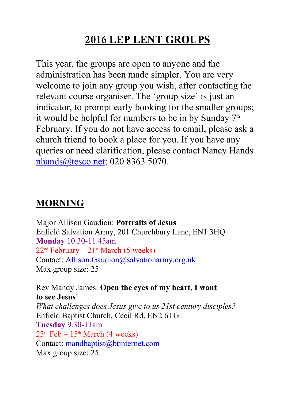## **2016 LEP LENT GROUPS**

This year, the groups are open to anyone and the administration has been made simpler. You are very welcome to join any group you wish, after contacting the relevant course organiser. The 'group size' is just an indicator, to prompt early booking for the smaller groups; it would be helpful for numbers to be in by Sunday  $7<sup>th</sup>$ February. If you do not have access to email, please ask a church friend to book a place for you. If you have any queries or need clarification, please contact Nancy Hands nhands@tesco.net; 020 8363 5070.

## **MORNING**

Major Allison Gaudion: **Portraits of Jesus** Enfield Salvation Army, 201 Churchbury Lane, EN1 3HQ **Monday** 10.30-11.45am  $22<sup>nd</sup> February - 21<sup>st</sup> March (5 weeks)$ Contact: Allison.Gaudion@salvationarmy.org.uk Max group size: 25

 Rev Mandy James: **Open the eyes of my heart, I want to see Jesus**!  *What challenges does Jesus give to us 21st century disciples?* Enfield Baptist Church, Cecil Rd, EN2 6TG **Tuesday** 9.30-11am  $23<sup>rd</sup> Feb - 15<sup>th</sup> March (4 weeks)$  Contact: mandbaptist@btinternet.com Max group size: 25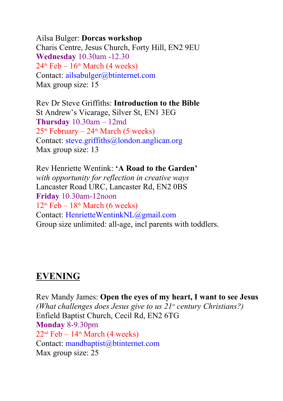Ailsa Bulger: **Dorcas workshop** Charis Centre, Jesus Church, Forty Hill, EN2 9EU **Wednesday** 10.30am 12.30  $24<sup>th</sup>$  Feb –  $16<sup>th</sup>$  March (4 weeks) Contact: ailsabulger@btinternet.com Max group size: 15

Rev Dr Steve Griffiths: **Introduction to the Bible** St Andrew's Vicarage, Silver St, EN1 3EG **Thursday** 10.30am – 12md  $25<sup>th</sup>$  February –  $24<sup>th</sup>$  March (5 weeks) Contact: steve.griffiths@london.anglican.org Max group size: 13

Rev Henriette Wentink: **'A Road to the Garden'**  *with opportunity for reflection in creative ways* Lancaster Road URC, Lancaster Rd, EN2 0BS **Friday** 10.30am-12noon  $12<sup>th</sup>$  Feb –  $18<sup>th</sup>$  March (6 weeks) Contact: HenrietteWentinkNL@gmail.com Group size unlimited: all-age, incl parents with toddlers.

## **EVENING**

Rev Mandy James: **Open the eyes of my heart, I want to see Jesus** *(What challenges does Jesus give to us 21st century Christians?)* Enfield Baptist Church, Cecil Rd, EN2 6TG **Monday** 8-9.30pm  $22<sup>nd</sup> Feb - 14<sup>th</sup> March (4 weeks)$ Contact: mandbaptist@btinternet.com Max group size: 25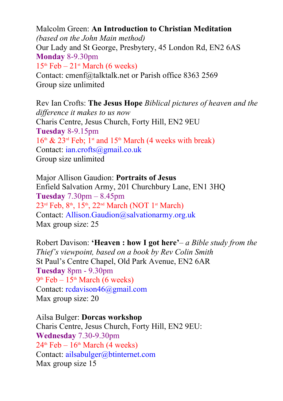Malcolm Green: **An Introduction to Christian Meditation** *(based on the John Main method)* Our Lady and St George, Presbytery, 45 London Rd, EN2 6AS **Monday** 8-9.30pm  $15<sup>th</sup> Feb - 21<sup>st</sup> March (6 weeks)$ Contact: cmenf@talktalk.net or Parish office 8363 2569 Group size unlimited

Rev Ian Crofts: **The Jesus Hope** *Biblical pictures of heaven and the difference it makes to us now* Charis Centre, Jesus Church, Forty Hill, EN2 9EU **Tuesday** 8-9.15pm  $16<sup>th</sup>$  & 23<sup>rd</sup> Feb; 1<sup>st</sup> and 15<sup>th</sup> March (4 weeks with break) Contact: ian.crofts@gmail.co.uk Group size unlimited

Major Allison Gaudion: **Portraits of Jesus** Enfield Salvation Army, 201 Churchbury Lane, EN1 3HQ **Tuesday** 7.30pm – 8.45pm 23<sup>rd</sup> Feb, 8<sup>th</sup>, 15<sup>th</sup>, 22<sup>nd</sup> March (NOT 1<sup>st</sup> March) Contact: Allison.Gaudion@salvationarmy.org.uk Max group size: 25

Robert Davison: **'Heaven : how I got here'***– a Bible study from the Thief's viewpoint, based on a book by Rev Colin Smith* St Paul's Centre Chapel, Old Park Avenue, EN2 6AR **Tuesday** 8pm - 9.30pm  $9<sup>th</sup>$  Feb – 15<sup>th</sup> March (6 weeks) Contact: rcdavison46@gmail.com Max group size: 20

Ailsa Bulger: **Dorcas workshop** Charis Centre, Jesus Church, Forty Hill, EN2 9EU: **Wednesday** 7.30-9.30pm  $24<sup>th</sup>$  Feb –  $16<sup>th</sup>$  March (4 weeks) Contact: ailsabulger@btinternet.com Max group size 15